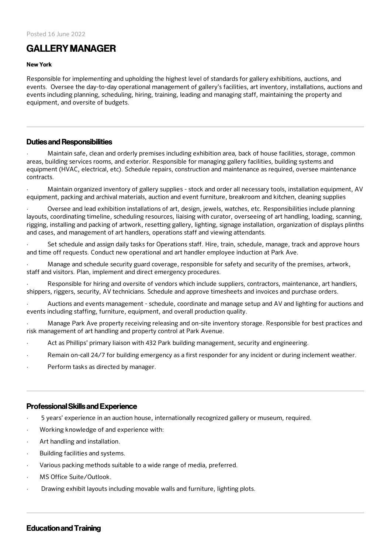# **GALLERY MANAGER**

#### New York

Responsible for implementing and upholding the highest level of standards for gallery exhibitions, auctions, and events. Oversee the day-to-day operational management of gallery's facilities, art inventory, installations, auctions and events including planning, scheduling, hiring, training, leading and managing staff, maintaining the property and equipment, and oversite of budgets.

## Duties and Responsibilities

· Maintain safe, clean and orderly premises including exhibition area, back of house facilities, storage, common areas, building services rooms, and exterior. Responsible for managing gallery facilities, building systems and equipment (HVAC, electrical, etc). Schedule repairs, construction and maintenance as required, oversee maintenance contracts.

Maintain organized inventory of gallery supplies - stock and order all necessary tools, installation equipment, AV equipment, packing and archival materials, auction and event furniture, breakroom and kitchen, cleaning supplies

· Oversee and lead exhibition installations of art, design, jewels, watches, etc. Responsibilities include planning layouts, coordinating timeline, scheduling resources, liaising with curator, overseeing of art handling, loading, scanning, rigging, installing and packing of artwork, resetting gallery, lighting, signage installation, organization of displays plinths and cases, and management of art handlers, operations staff and viewing attendants.

Set schedule and assign daily tasks for Operations staff. Hire, train, schedule, manage, track and approve hours and time off requests. Conduct new operational and art handler employee induction at Park Ave.

· Manage and schedule security guard coverage, responsible for safety and security of the premises, artwork, staff and visitors. Plan, implement and direct emergency procedures.

Responsible for hiring and oversite of vendors which include suppliers, contractors, maintenance, art handlers, shippers, riggers, security, AV technicians. Schedule and approve timesheets and invoices and purchase orders.

Auctions and events management - schedule, coordinate and manage setup and AV and lighting for auctions and events including staffing, furniture, equipment, and overall production quality.

· Manage Park Ave property receiving releasing and on-site inventory storage. Responsible for best practices and risk management of art handling and property control at Park Avenue.

- Act as Phillips' primary liaison with 432 Park building management, security and engineering.
- Remain on-call 24/7 for building emergency as a first responder for any incident or during inclement weather.
- Perform tasks as directed by manager.

## ProfessionalSkills and Experience

- · 5 years' experience in an auction house, internationally recognized gallery or museum, required.
- · Working knowledge of and experience with:
- Art handling and installation.
- Building facilities and systems.
- · Various packing methods suitable to a wide range of media, preferred.
- · MS Office Suite/Outlook.
- Drawing exhibit layouts including movable walls and furniture, lighting plots.